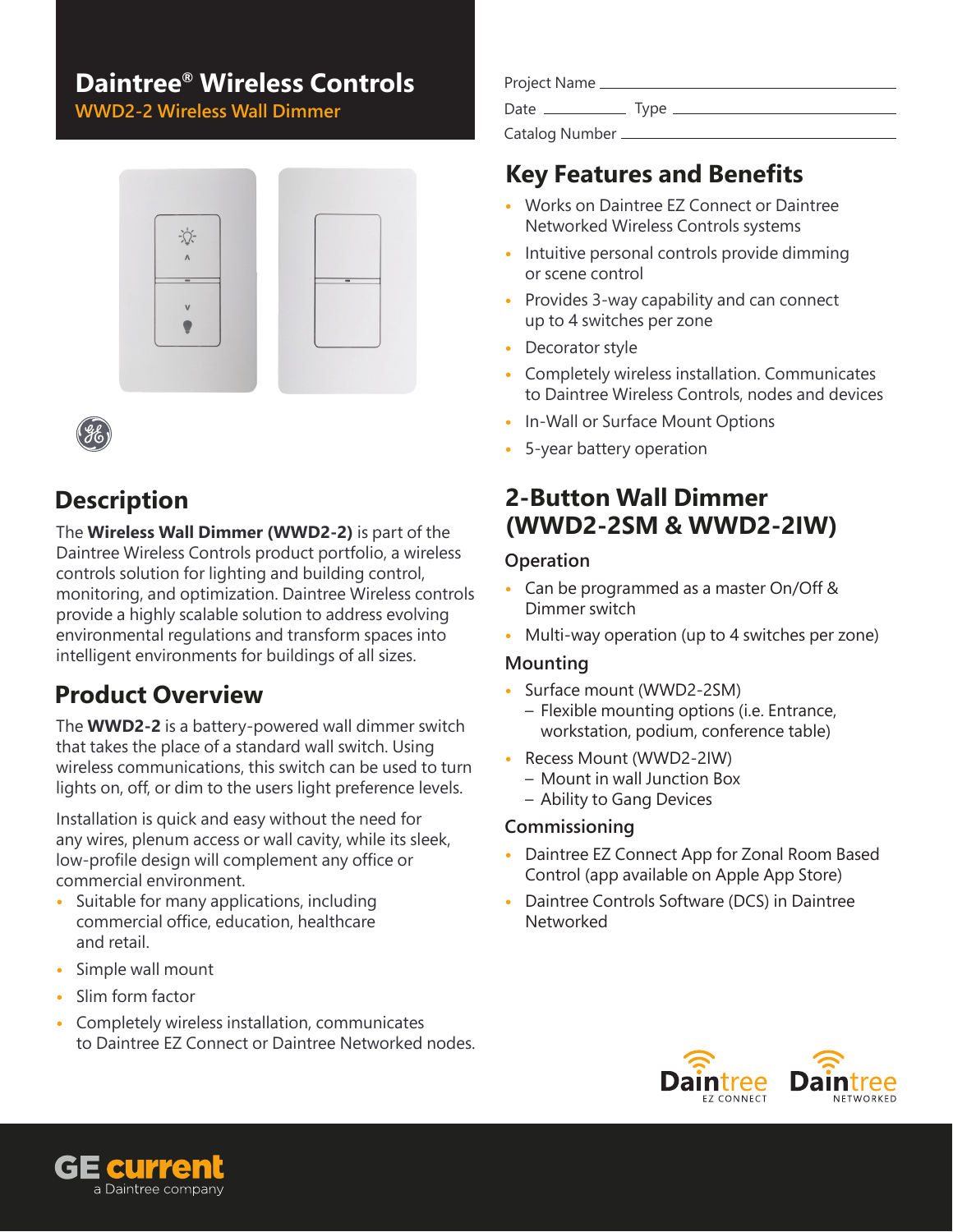# **Daintree® Wireless Controls**

**WWD2-2 Wireless Wall Dimmer**





### **Description**

The **Wireless Wall Dimmer (WWD2-2)** is part of the Daintree Wireless Controls product portfolio, a wireless controls solution for lighting and building control, monitoring, and optimization. Daintree Wireless controls provide a highly scalable solution to address evolving environmental regulations and transform spaces into intelligent environments for buildings of all sizes.

# **Product Overview**

The **WWD2-2** is a battery-powered wall dimmer switch that takes the place of a standard wall switch. Using wireless communications, this switch can be used to turn lights on, off, or dim to the users light preference levels.

Installation is quick and easy without the need for any wires, plenum access or wall cavity, while its sleek, low-profile design will complement any office or commercial environment.

- **•** Suitable for many applications, including commercial office, education, healthcare and retail.
- **•** Simple wall mount
- **•** Slim form factor
- **•** Completely wireless installation, communicates to Daintree EZ Connect or Daintree Networked nodes.

| Project Name     |      |
|------------------|------|
| Date             | Type |
| Catalog Number _ |      |

# **Key Features and Benefits**

- **•** Works on Daintree EZ Connect or Daintree Networked Wireless Controls systems
- **•** Intuitive personal controls provide dimming or scene control
- **•** Provides 3-way capability and can connect up to 4 switches per zone
- **•** Decorator style
- **•** Completely wireless installation. Communicates to Daintree Wireless Controls, nodes and devices
- **•** In-Wall or Surface Mount Options
- **•** 5-year battery operation

### **2-Button Wall Dimmer (WWD2-2SM & WWD2-2IW)**

#### **Operation**

- **•** Can be programmed as a master On/Off & Dimmer switch
- **•** Multi-way operation (up to 4 switches per zone)

#### **Mounting**

- **•** Surface mount (WWD2-2SM) – Flexible mounting options (i.e. Entrance, workstation, podium, conference table)
- **•** Recess Mount (WWD2-2IW)
	- Mount in wall Junction Box
	- Ability to Gang Devices

#### **Commissioning**

- **•** Daintree EZ Connect App for Zonal Room Based Control (app available on Apple App Store)
- **•** Daintree Controls Software (DCS) in Daintree Networked



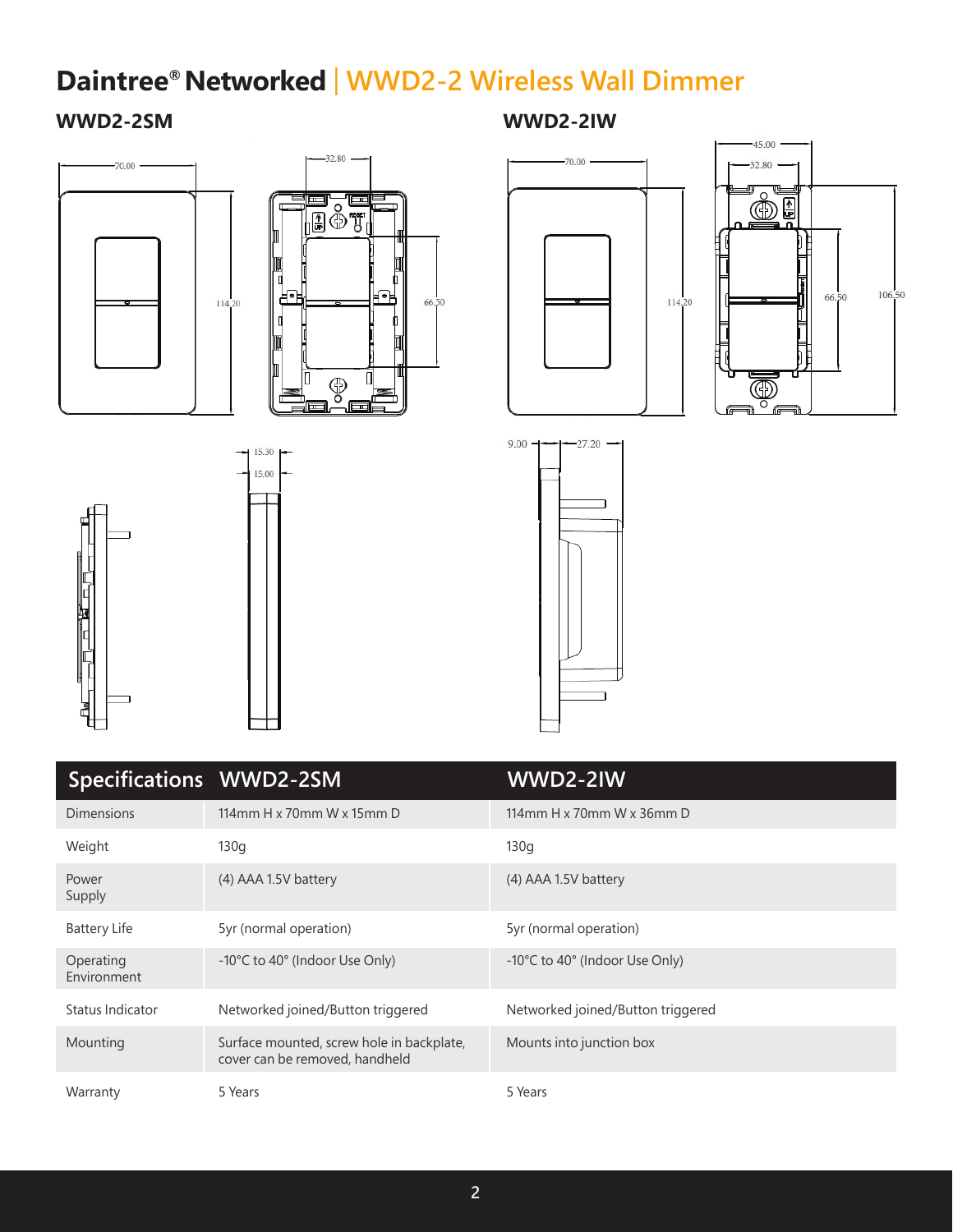# **Daintree® Networked** |  **WWD2-2 Wireless Wall Dimmer**

#### **WWD2-2SM WWD2-2IW**















| Specifications WWD2-2SM  |                                                                             | WWD2-2IW                                |
|--------------------------|-----------------------------------------------------------------------------|-----------------------------------------|
| <b>Dimensions</b>        | 114mm H x 70mm W x 15mm D                                                   | 114mm H $\times$ 70mm W $\times$ 36mm D |
| Weight                   | 130q                                                                        | 130q                                    |
| Power<br>Supply          | (4) AAA 1.5V battery                                                        | (4) AAA 1.5V battery                    |
| <b>Battery Life</b>      | 5yr (normal operation)                                                      | 5yr (normal operation)                  |
| Operating<br>Environment | -10°C to 40° (Indoor Use Only)                                              | -10°C to 40° (Indoor Use Only)          |
| Status Indicator         | Networked joined/Button triggered                                           | Networked joined/Button triggered       |
| Mounting                 | Surface mounted, screw hole in backplate,<br>cover can be removed, handheld | Mounts into junction box                |
| Warranty                 | 5 Years                                                                     | 5 Years                                 |